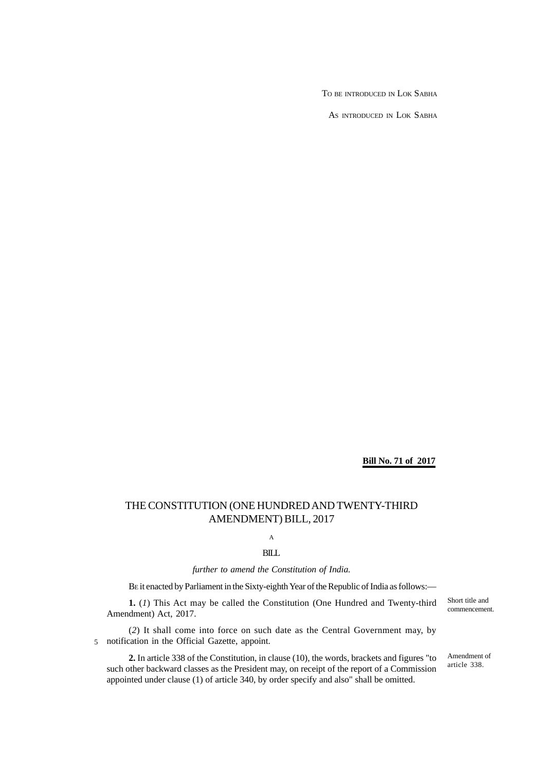TO BE INTRODUCED IN LOK SABHA

AS INTRODUCED IN LOK SABHA

**Bill No. 71 of 2017**

# THE CONSTITUTION (ONE HUNDRED AND TWENTY-THIRD AMENDMENT) BILL, 2017

A

BILL

*further to amend the Constitution of India.*

BE it enacted by Parliament in the Sixty-eighth Year of the Republic of India as follows:—

**1.** (*1*) This Act may be called the Constitution (One Hundred and Twenty-third Amendment) Act, 2017.

(*2*) It shall come into force on such date as the Central Government may, by notification in the Official Gazette, appoint. 5

**2.** In article 338 of the Constitution, in clause (10), the words, brackets and figures "to such other backward classes as the President may, on receipt of the report of a Commission appointed under clause (1) of article 340, by order specify and also" shall be omitted.

Short title and commencement.

Amendment of article 338.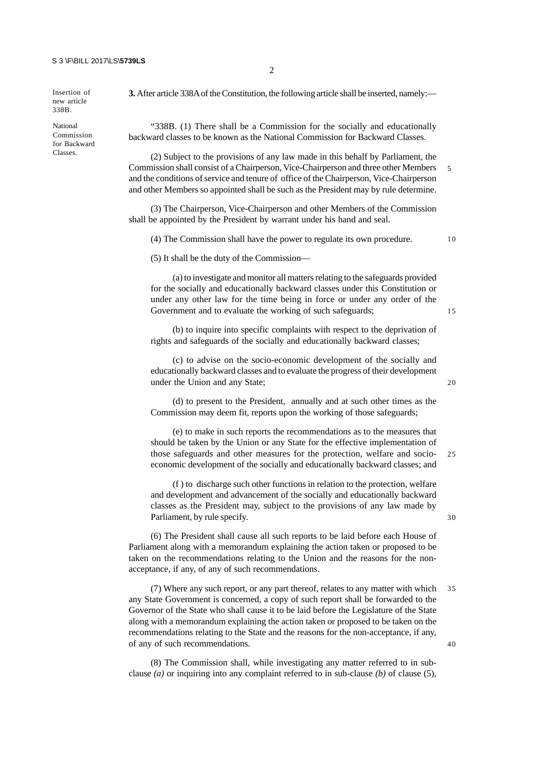Insertion of new article 338B.

National Commission for Backward Classes.

**3.** After article 338A of the Constitution, the following article shall be inserted, namely:—

2

"338B. (1) There shall be a Commission for the socially and educationally backward classes to be known as the National Commission for Backward Classes.

(2) Subject to the provisions of any law made in this behalf by Parliament, the Commission shall consist of a Chairperson, Vice-Chairperson and three other Members and the conditions of service and tenure of office of the Chairperson, Vice-Chairperson and other Members so appointed shall be such as the President may by rule determine.

(3) The Chairperson, Vice-Chairperson and other Members of the Commission shall be appointed by the President by warrant under his hand and seal.

(4) The Commission shall have the power to regulate its own procedure.

1 0

5

(5) It shall be the duty of the Commission—

(a) to investigate and monitor all matters relating to the safeguards provided for the socially and educationally backward classes under this Constitution or under any other law for the time being in force or under any order of the Government and to evaluate the working of such safeguards;

(b) to inquire into specific complaints with respect to the deprivation of rights and safeguards of the socially and educationally backward classes;

(c) to advise on the socio-economic development of the socially and educationally backward classes and to evaluate the progress of their development under the Union and any State;

(d) to present to the President, annually and at such other times as the Commission may deem fit, reports upon the working of those safeguards;

(e) to make in such reports the recommendations as to the measures that should be taken by the Union or any State for the effective implementation of those safeguards and other measures for the protection, welfare and socioeconomic development of the socially and educationally backward classes; and 2 5

(f ) to discharge such other functions in relation to the protection, welfare and development and advancement of the socially and educationally backward classes as the President may, subject to the provisions of any law made by Parliament, by rule specify.

(6) The President shall cause all such reports to be laid before each House of Parliament along with a memorandum explaining the action taken or proposed to be taken on the recommendations relating to the Union and the reasons for the nonacceptance, if any, of any of such recommendations.

(7) Where any such report, or any part thereof, relates to any matter with which any State Government is concerned, a copy of such report shall be forwarded to the Governor of the State who shall cause it to be laid before the Legislature of the State along with a memorandum explaining the action taken or proposed to be taken on the recommendations relating to the State and the reasons for the non-acceptance, if any, of any of such recommendations. 3 5  $40$ 

(8) The Commission shall, while investigating any matter referred to in subclause *(a)* or inquiring into any complaint referred to in sub-clause *(b)* of clause (5), 2 0

1 5

3 0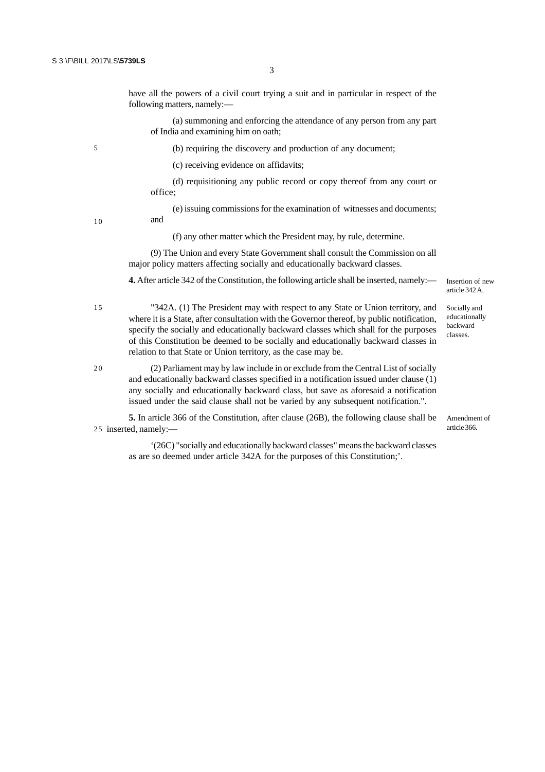5

have all the powers of a civil court trying a suit and in particular in respect of the following matters, namely:—

(a) summoning and enforcing the attendance of any person from any part of India and examining him on oath;

(b) requiring the discovery and production of any document;

(c) receiving evidence on affidavits;

(d) requisitioning any public record or copy thereof from any court or office;

(e) issuing commissions for the examination of witnesses and documents; and

1 0

1 5

2.0

(f) any other matter which the President may, by rule, determine.

(9) The Union and every State Government shall consult the Commission on all major policy matters affecting socially and educationally backward classes.

**4.** After article 342 of the Constitution, the following article shall be inserted, namely:—

Insertion of new article 342 A.

Socially and educationally backward classes.

"342A. (1) The President may with respect to any State or Union territory, and where it is a State, after consultation with the Governor thereof, by public notification, specify the socially and educationally backward classes which shall for the purposes of this Constitution be deemed to be socially and educationally backward classes in relation to that State or Union territory, as the case may be.

(2) Parliament may by law include in or exclude from the Central List of socially and educationally backward classes specified in a notification issued under clause (1) any socially and educationally backward class, but save as aforesaid a notification issued under the said clause shall not be varied by any subsequent notification.".

**5.** In article 366 of the Constitution, after clause (26B), the following clause shall be 25 inserted, namely:-

Amendment of article 366.

'(26C) "socially and educationally backward classes" means the backward classes as are so deemed under article 342A for the purposes of this Constitution;'.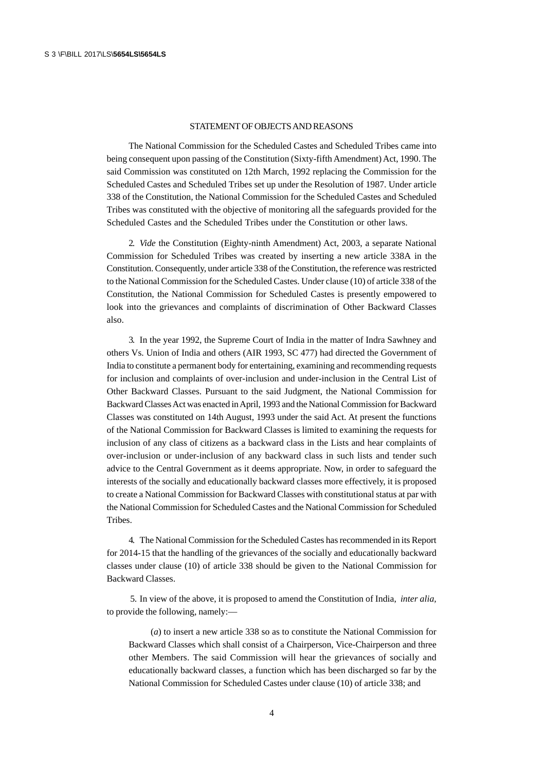### STATEMENT OF OBJECTS AND REASONS

The National Commission for the Scheduled Castes and Scheduled Tribes came into being consequent upon passing of the Constitution (Sixty-fifth Amendment) Act, 1990. The said Commission was constituted on 12th March, 1992 replacing the Commission for the Scheduled Castes and Scheduled Tribes set up under the Resolution of 1987. Under article 338 of the Constitution, the National Commission for the Scheduled Castes and Scheduled Tribes was constituted with the objective of monitoring all the safeguards provided for the Scheduled Castes and the Scheduled Tribes under the Constitution or other laws.

2. *Vide* the Constitution (Eighty-ninth Amendment) Act, 2003, a separate National Commission for Scheduled Tribes was created by inserting a new article 338A in the Constitution. Consequently, under article 338 of the Constitution, the reference was restricted to the National Commission for the Scheduled Castes. Under clause (10) of article 338 of the Constitution, the National Commission for Scheduled Castes is presently empowered to look into the grievances and complaints of discrimination of Other Backward Classes also.

3. In the year 1992, the Supreme Court of India in the matter of Indra Sawhney and others Vs. Union of India and others (AIR 1993, SC 477) had directed the Government of India to constitute a permanent body for entertaining, examining and recommending requests for inclusion and complaints of over-inclusion and under-inclusion in the Central List of Other Backward Classes. Pursuant to the said Judgment, the National Commission for Backward Classes Act was enacted in April, 1993 and the National Commission for Backward Classes was constituted on 14th August, 1993 under the said Act. At present the functions of the National Commission for Backward Classes is limited to examining the requests for inclusion of any class of citizens as a backward class in the Lists and hear complaints of over-inclusion or under-inclusion of any backward class in such lists and tender such advice to the Central Government as it deems appropriate. Now, in order to safeguard the interests of the socially and educationally backward classes more effectively, it is proposed to create a National Commission for Backward Classes with constitutional status at par with the National Commission for Scheduled Castes and the National Commission for Scheduled Tribes.

4. The National Commission for the Scheduled Castes has recommended in its Report for 2014-15 that the handling of the grievances of the socially and educationally backward classes under clause (10) of article 338 should be given to the National Commission for Backward Classes.

 5. In view of the above, it is proposed to amend the Constitution of India, *inter alia,* to provide the following, namely:—

(*a*) to insert a new article 338 so as to constitute the National Commission for Backward Classes which shall consist of a Chairperson, Vice-Chairperson and three other Members. The said Commission will hear the grievances of socially and educationally backward classes, a function which has been discharged so far by the National Commission for Scheduled Castes under clause (10) of article 338; and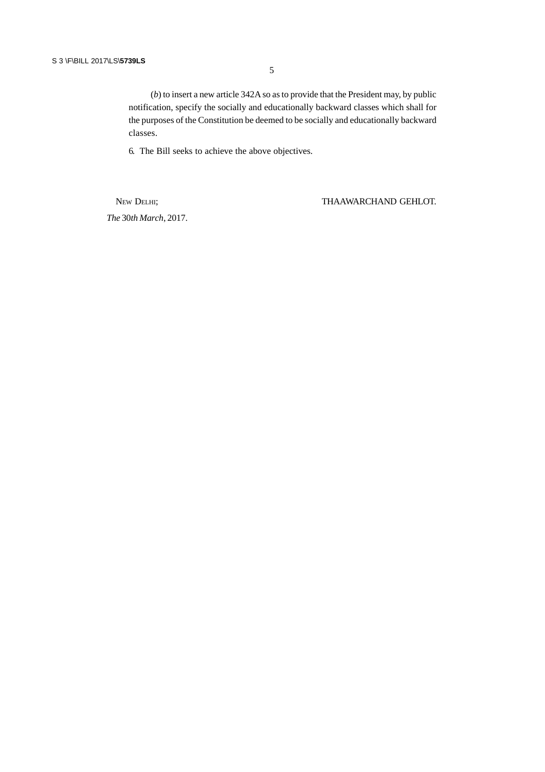(*b*) to insert a new article 342A so as to provide that the President may, by public notification, specify the socially and educationally backward classes which shall for the purposes of the Constitution be deemed to be socially and educationally backward classes.

6. The Bill seeks to achieve the above objectives.

*The* 30*th March*, 2017.

NEW DELHI; THAAWARCHAND GEHLOT.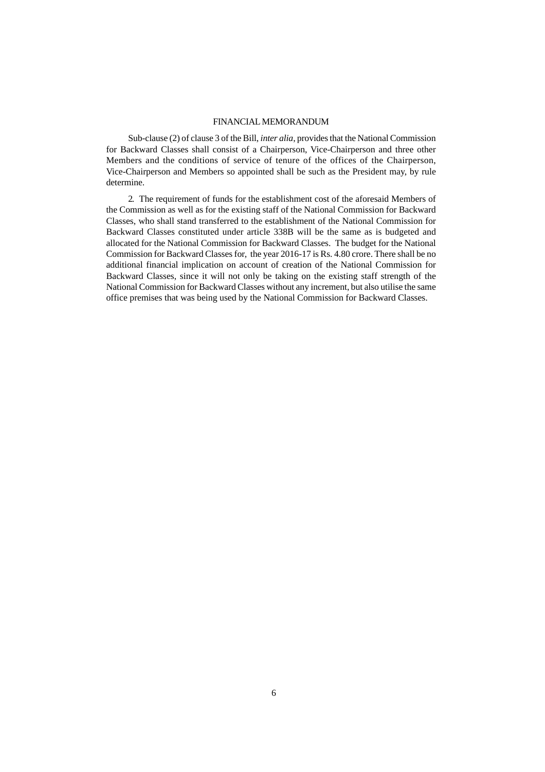#### FINANCIAL MEMORANDUM

Sub-clause (2) of clause 3 of the Bill, *inter alia*, provides that the National Commission for Backward Classes shall consist of a Chairperson, Vice-Chairperson and three other Members and the conditions of service of tenure of the offices of the Chairperson, Vice-Chairperson and Members so appointed shall be such as the President may, by rule determine.

2. The requirement of funds for the establishment cost of the aforesaid Members of the Commission as well as for the existing staff of the National Commission for Backward Classes, who shall stand transferred to the establishment of the National Commission for Backward Classes constituted under article 338B will be the same as is budgeted and allocated for the National Commission for Backward Classes. The budget for the National Commission for Backward Classes for, the year 2016-17 is Rs. 4.80 crore. There shall be no additional financial implication on account of creation of the National Commission for Backward Classes, since it will not only be taking on the existing staff strength of the National Commission for Backward Classes without any increment, but also utilise the same office premises that was being used by the National Commission for Backward Classes.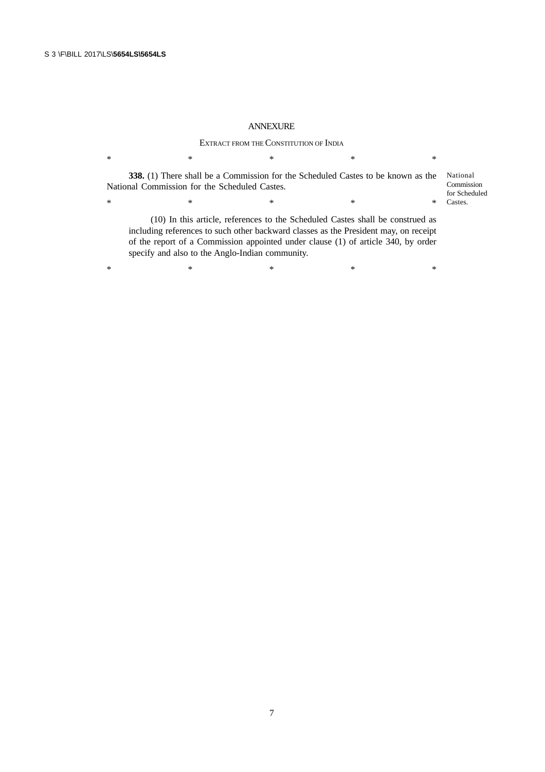## ANNEXURE

### EXTRACT FROM THE CONSTITUTION OF INDIA

 $*$  \*  $*$  \*  $*$  \*  $*$ **338.** (1) There shall be a Commission for the Scheduled Castes to be known as the National Commission for the Scheduled Castes.  $*$  \*  $*$  \*  $*$  \*  $*$ (10) In this article, references to the Scheduled Castes shall be construed as including references to such other backward classes as the President may, on receipt National Commission for Scheduled Castes.

of the report of a Commission appointed under clause (1) of article 340, by order specify and also to the Anglo-Indian community.

 $*$  \*  $*$  \*  $*$  \*  $*$ 

7